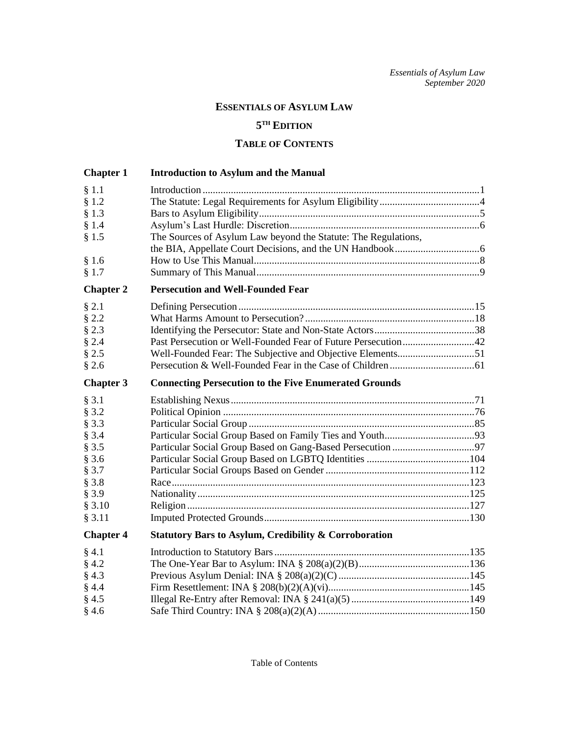## **ESSENTIALS OF ASYLUM LAW**

## **5 TH EDITION**

## **TABLE OF CONTENTS**

| <b>Chapter 1</b> | <b>Introduction to Asylum and the Manual</b>                     |  |
|------------------|------------------------------------------------------------------|--|
| § 1.1            |                                                                  |  |
| § 1.2<br>§ 1.3   |                                                                  |  |
| § 1.4            |                                                                  |  |
| § 1.5            | The Sources of Asylum Law beyond the Statute: The Regulations,   |  |
|                  |                                                                  |  |
| §1.6             |                                                                  |  |
| § 1.7            |                                                                  |  |
| <b>Chapter 2</b> | <b>Persecution and Well-Founded Fear</b>                         |  |
| $§$ 2.1          |                                                                  |  |
| $§$ 2.2          |                                                                  |  |
| $§$ 2.3          |                                                                  |  |
| § 2.4            | Past Persecution or Well-Founded Fear of Future Persecution42    |  |
| $§$ 2.5          |                                                                  |  |
| § 2.6            |                                                                  |  |
| <b>Chapter 3</b> | <b>Connecting Persecution to the Five Enumerated Grounds</b>     |  |
| § 3.1            |                                                                  |  |
| § 3.2            |                                                                  |  |
| $§$ 3.3          |                                                                  |  |
| § 3.4            |                                                                  |  |
| $§$ 3.5          |                                                                  |  |
| $§$ 3.6          |                                                                  |  |
| § 3.7            |                                                                  |  |
| $§$ 3.8          |                                                                  |  |
| § 3.9            |                                                                  |  |
| § 3.10<br>§ 3.11 |                                                                  |  |
|                  |                                                                  |  |
| <b>Chapter 4</b> | <b>Statutory Bars to Asylum, Credibility &amp; Corroboration</b> |  |
| $§$ 4.1          |                                                                  |  |
| $§$ 4.2          |                                                                  |  |
| $§$ 4.3          |                                                                  |  |
| § 4.4            |                                                                  |  |
| § 4.5            |                                                                  |  |
| § 4.6            |                                                                  |  |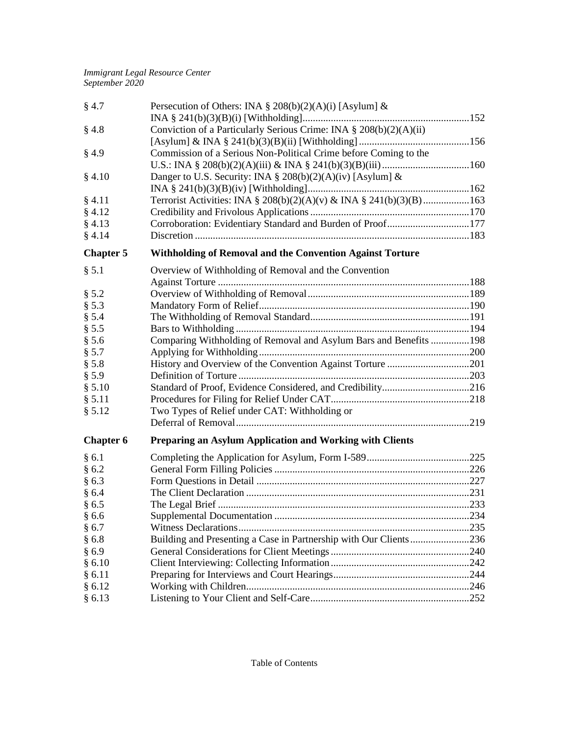| $§$ 4.7          | Persecution of Others: INA § 208(b)(2)(A)(i) [Asylum] &             |  |
|------------------|---------------------------------------------------------------------|--|
|                  |                                                                     |  |
| $§$ 4.8          | Conviction of a Particularly Serious Crime: INA § 208(b)(2)(A)(ii)  |  |
|                  |                                                                     |  |
| § 4.9            | Commission of a Serious Non-Political Crime before Coming to the    |  |
|                  |                                                                     |  |
| § 4.10           | Danger to U.S. Security: INA § 208(b)(2)(A)(iv) [Asylum] $\&$       |  |
|                  |                                                                     |  |
| § 4.11           | Terrorist Activities: INA § 208(b)(2)(A)(v) & INA § 241(b)(3)(B)163 |  |
| § 4.12           |                                                                     |  |
| § 4.13           | Corroboration: Evidentiary Standard and Burden of Proof177          |  |
| § 4.14           |                                                                     |  |
| <b>Chapter 5</b> | <b>Withholding of Removal and the Convention Against Torture</b>    |  |
| § 5.1            | Overview of Withholding of Removal and the Convention               |  |
|                  |                                                                     |  |
| § 5.2            |                                                                     |  |
| § 5.3            |                                                                     |  |
| § 5.4            |                                                                     |  |
| § 5.5            |                                                                     |  |
| $§$ 5.6          | Comparing Withholding of Removal and Asylum Bars and Benefits 198   |  |
| § 5.7            |                                                                     |  |
| $§$ 5.8          |                                                                     |  |
| § 5.9            |                                                                     |  |
| \$5.10           |                                                                     |  |
| § 5.11           |                                                                     |  |
| § 5.12           | Two Types of Relief under CAT: Withholding or                       |  |
|                  |                                                                     |  |
| <b>Chapter 6</b> | <b>Preparing an Asylum Application and Working with Clients</b>     |  |
| §6.1             |                                                                     |  |
| §6.2             |                                                                     |  |
| §6.3             |                                                                     |  |
| § 6.4            |                                                                     |  |
| § 6.5            |                                                                     |  |
| §6.6             |                                                                     |  |
| §6.7             |                                                                     |  |
| §6.8             | Building and Presenting a Case in Partnership with Our Clients236   |  |
| §6.9             |                                                                     |  |
| § 6.10           |                                                                     |  |
| § 6.11           |                                                                     |  |
| § 6.12           |                                                                     |  |
| § 6.13           |                                                                     |  |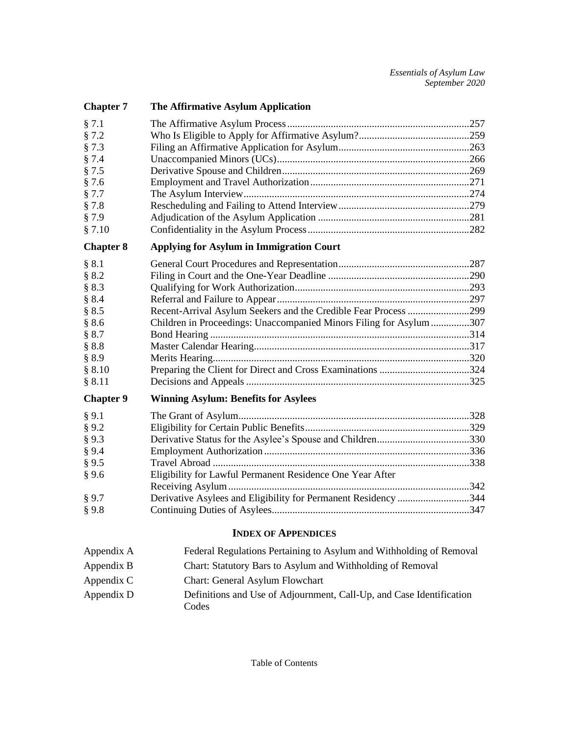| <b>Chapter 7</b>           | The Affirmative Asylum Application                                                                              |  |  |
|----------------------------|-----------------------------------------------------------------------------------------------------------------|--|--|
| § 7.1                      |                                                                                                                 |  |  |
| § 7.2                      |                                                                                                                 |  |  |
| § 7.3                      |                                                                                                                 |  |  |
| § 7.4                      |                                                                                                                 |  |  |
| § 7.5                      |                                                                                                                 |  |  |
| § 7.6                      |                                                                                                                 |  |  |
| § 7.7                      |                                                                                                                 |  |  |
| § 7.8                      |                                                                                                                 |  |  |
| § 7.9                      |                                                                                                                 |  |  |
| § 7.10                     |                                                                                                                 |  |  |
| <b>Chapter 8</b>           | <b>Applying for Asylum in Immigration Court</b>                                                                 |  |  |
| § 8.1                      |                                                                                                                 |  |  |
| § 8.2                      |                                                                                                                 |  |  |
| § 8.3                      |                                                                                                                 |  |  |
| § 8.4                      |                                                                                                                 |  |  |
| § 8.5                      | Recent-Arrival Asylum Seekers and the Credible Fear Process 299                                                 |  |  |
| § 8.6                      | Children in Proceedings: Unaccompanied Minors Filing for Asylum 307                                             |  |  |
| § 8.7                      |                                                                                                                 |  |  |
| § 8.8                      |                                                                                                                 |  |  |
| § 8.9                      |                                                                                                                 |  |  |
| \$8.10                     |                                                                                                                 |  |  |
| § 8.11                     |                                                                                                                 |  |  |
| <b>Chapter 9</b>           | <b>Winning Asylum: Benefits for Asylees</b>                                                                     |  |  |
| § 9.1                      |                                                                                                                 |  |  |
| § 9.2                      |                                                                                                                 |  |  |
| § 9.3                      |                                                                                                                 |  |  |
| § 9.4                      |                                                                                                                 |  |  |
| § 9.5                      |                                                                                                                 |  |  |
| § 9.6                      | Eligibility for Lawful Permanent Residence One Year After                                                       |  |  |
|                            |                                                                                                                 |  |  |
| § 9.7                      | Derivative Asylees and Eligibility for Permanent Residency 344                                                  |  |  |
| §9.8                       |                                                                                                                 |  |  |
| <b>INDEX OF APPENDICES</b> |                                                                                                                 |  |  |
| Appendix A                 | Federal Regulations Pertaining to Asylum and Withholding of Removal                                             |  |  |
| Appendix B                 | Chart: Statutory Bars to Asylum and Withholding of Removal                                                      |  |  |
|                            | the contract of the contract of the contract of the contract of the contract of the contract of the contract of |  |  |

Appendix C Chart: General Asylum Flowchart Appendix D Definitions and Use of Adjournment, Call-Up, and Case Identification Codes